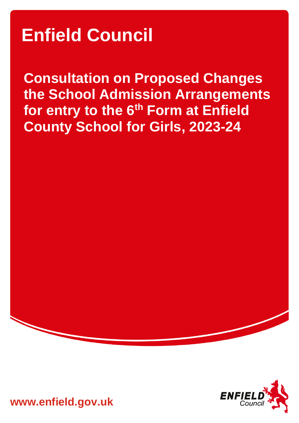# **Enfield Council**

**Consultation on Proposed Changes the School Admission Arrangements for entry to the 6th Form at Enfield County School for Girls, 2023-24**



**www.enfield.gov.uk**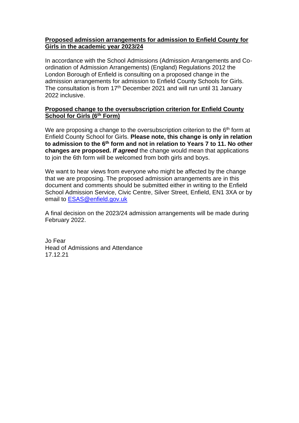#### **Proposed admission arrangements for admission to Enfield County for Girls in the academic year 2023/24**

In accordance with the School Admissions (Admission Arrangements and Coordination of Admission Arrangements) (England) Regulations 2012 the London Borough of Enfield is consulting on a proposed change in the admission arrangements for admission to Enfield County Schools for Girls. The consultation is from 17<sup>th</sup> December 2021 and will run until 31 January 2022 inclusive.

## **Proposed change to the oversubscription criterion for Enfield County School for Girls (6th Form)**

We are proposing a change to the oversubscription criterion to the  $6<sup>th</sup>$  form at Enfield County School for Girls. **Please note, this change is only in relation to admission to the 6th form and not in relation to Years 7 to 11. No other changes are proposed.** *If agreed* the change would mean that applications to join the 6th form will be welcomed from both girls and boys.

We want to hear views from everyone who might be affected by the change that we are proposing. The proposed admission arrangements are in this document and comments should be submitted either in writing to the Enfield School Admission Service, Civic Centre, Silver Street, Enfield, EN1 3XA or by email to [ESAS@enfield.gov.uk](mailto:ESAS@enfield.gov.uk)

A final decision on the 2023/24 admission arrangements will be made during February 2022.

Jo Fear Head of Admissions and Attendance 17.12.21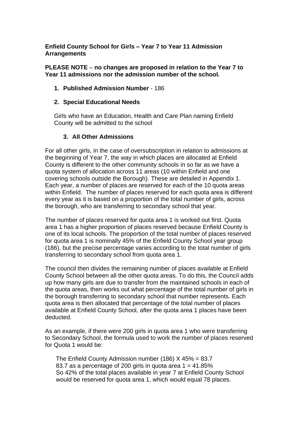#### **Enfield County School for Girls – Year 7 to Year 11 Admission Arrangements**

#### **PLEASE NOTE** – **no changes are proposed in relation to the Year 7 to Year 11 admissions nor the admission number of the school.**

## **1. Published Admission Number** - 186

#### **2. Special Educational Needs**

Girls who have an Education, Health and Care Plan naming Enfield County will be admitted to the school

#### **3. All Other Admissions**

For all other girls, in the case of oversubscription in relation to admissions at the beginning of Year 7, the way in which places are allocated at Enfield County is different to the other community schools in so far as we have a quota system of allocation across 11 areas (10 within Enfield and one covering schools outside the Borough). These are detailed in Appendix 1. Each year, a number of places are reserved for each of the 10 quota areas within Enfield. The number of places reserved for each quota area is different every year as it is based on a proportion of the total number of girls, across the borough, who are transferring to secondary school that year.

The number of places reserved for quota area 1 is worked out first. Quota area 1 has a higher proportion of places reserved because Enfield County is one of its local schools. The proportion of the total number of places reserved for quota area 1 is nominally 45% of the Enfield County School year group (186), but the precise percentage varies according to the total number of girls transferring to secondary school from quota area 1.

The council then divides the remaining number of places available at Enfield County School between all the other quota areas. To do this, the Council adds up how many girls are due to transfer from the maintained schools in each of the quota areas, then works out what percentage of the total number of girls in the borough transferring to secondary school that number represents. Each quota area is then allocated that percentage of the total number of places available at Enfield County School, after the quota area 1 places have been deducted.

As an example, if there were 200 girls in quota area 1 who were transferring to Secondary School, the formula used to work the number of places reserved for Quota 1 would be:

The Enfield County Admission number (186)  $X$  45% = 83.7 83.7 as a percentage of 200 girls in quota area  $1 = 41.85\%$ So 42% of the total places available in year 7 at Enfield County School would be reserved for quota area 1, which would equal 78 places.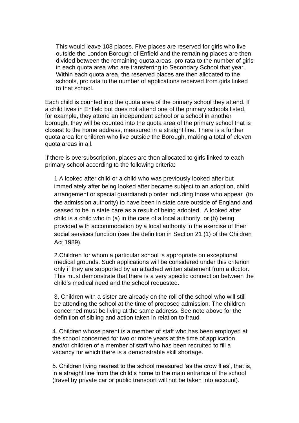This would leave 108 places. Five places are reserved for girls who live outside the London Borough of Enfield and the remaining places are then divided between the remaining quota areas, pro rata to the number of girls in each quota area who are transferring to Secondary School that year. Within each quota area, the reserved places are then allocated to the schools, pro rata to the number of applications received from girls linked to that school.

Each child is counted into the quota area of the primary school they attend. If a child lives in Enfield but does not attend one of the primary schools listed, for example, they attend an independent school or a school in another borough, they will be counted into the quota area of the primary school that is closest to the home address, measured in a straight line. There is a further quota area for children who live outside the Borough, making a total of eleven quota areas in all.

If there is oversubscription, places are then allocated to girls linked to each primary school according to the following criteria:

1 A looked after child or a child who was previously looked after but immediately after being looked after became subject to an adoption, child arrangement or special guardianship order including those who appear (to the admission authority) to have been in state care outside of England and ceased to be in state care as a result of being adopted. A looked after child is a child who in (a) in the care of a local authority. or (b) being provided with accommodation by a local authority in the exercise of their social services function (see the definition in Section 21 (1) of the Children Act 1989).

2.Children for whom a particular school is appropriate on exceptional medical grounds. Such applications will be considered under this criterion only if they are supported by an attached written statement from a doctor. This must demonstrate that there is a very specific connection between the child's medical need and the school requested.

3. Children with a sister are already on the roll of the school who will still be attending the school at the time of proposed admission. The children concerned must be living at the same address. See note above for the definition of sibling and action taken in relation to fraud

4. Children whose parent is a member of staff who has been employed at the school concerned for two or more years at the time of application and/or children of a member of staff who has been recruited to fill a vacancy for which there is a demonstrable skill shortage.

5. Children living nearest to the school measured 'as the crow flies', that is, in a straight line from the child's home to the main entrance of the school (travel by private car or public transport will not be taken into account).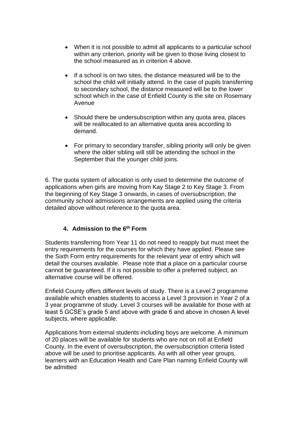- When it is not possible to admit all applicants to a particular school within any criterion, priority will be given to those living closest to the school measured as in criterion 4 above.
- If a school is on two sites, the distance measured will be to the school the child will initially attend. In the case of pupils transferring to secondary school, the distance measured will be to the lower school which in the case of Enfield County is the site on Rosemary Avenue
- Should there be undersubscription within any quota area, places will be reallocated to an alternative quota area according to demand.
- For primary to secondary transfer, sibling priority will only be given where the older sibling will still be attending the school in the September that the younger child joins.

6. The quota system of allocation is only used to determine the outcome of applications when girls are moving from Kay Stage 2 to Key Stage 3. From the beginning of Key Stage 3 onwards, in cases of oversubscription, the community school admissions arrangements are applied using the criteria detailed above without reference to the quota area.

## **4. Admission to the 6th Form**

Students transferring from Year 11 do not need to reapply but must meet the entry requirements for the courses for which they have applied. Please see the Sixth Form entry requirements for the relevant year of entry which will detail the courses available. Please note that a place on a particular course cannot be guaranteed. If it is not possible to offer a preferred subject, an alternative course will be offered.

Enfield County offers different levels of study. There is a Level 2 programme available which enables students to access a Level 3 provision in Year 2 of a 3 year programme of study. Level 3 courses will be available for those with at least 5 GCSE's grade 5 and above with grade 6 and above in chosen A level subjects, where applicable.

Applications from external students including boys are welcome. A minimum of 20 places will be available for students who are not on roll at Enfield County. In the event of oversubscription, the oversubscription criteria listed above will be used to prioritise applicants. As with all other year groups, learners with an Education Health and Care Plan naming Enfield County will be admitted